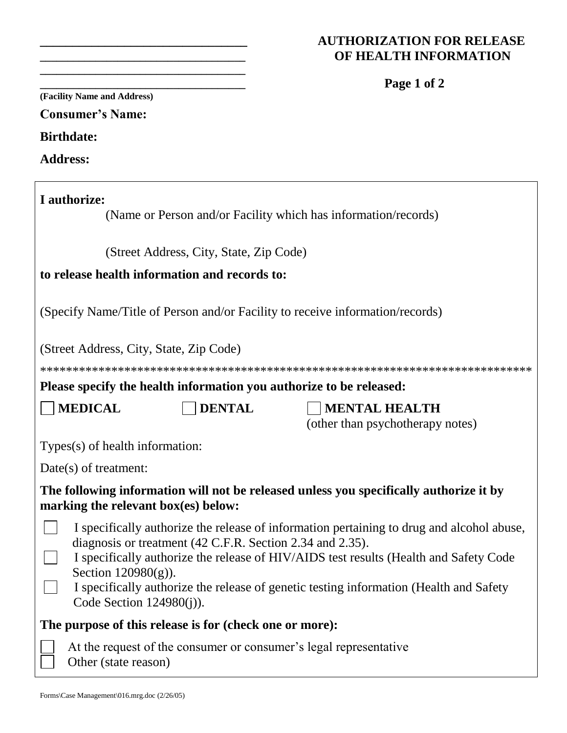### **\_\_\_\_\_\_\_\_\_\_\_\_\_\_\_\_\_\_\_\_\_\_\_\_\_\_\_\_\_\_\_\_ AUTHORIZATION FOR RELEASE \_\_\_\_\_\_\_\_\_\_\_\_\_\_\_\_\_\_\_\_\_\_\_\_\_\_\_\_\_\_\_\_\_\_\_\_\_ OF HEALTH INFORMATION**

|                                         |                                                           | Page 1 of 2                                                                               |
|-----------------------------------------|-----------------------------------------------------------|-------------------------------------------------------------------------------------------|
| (Facility Name and Address)             |                                                           |                                                                                           |
| <b>Consumer's Name:</b>                 |                                                           |                                                                                           |
| <b>Birthdate:</b>                       |                                                           |                                                                                           |
| <b>Address:</b>                         |                                                           |                                                                                           |
| I authorize:                            |                                                           |                                                                                           |
|                                         |                                                           | (Name or Person and/or Facility which has information/records)                            |
|                                         | (Street Address, City, State, Zip Code)                   |                                                                                           |
|                                         | to release health information and records to:             |                                                                                           |
|                                         |                                                           | (Specify Name/Title of Person and/or Facility to receive information/records)             |
| (Street Address, City, State, Zip Code) |                                                           |                                                                                           |
|                                         |                                                           |                                                                                           |
|                                         |                                                           | Please specify the health information you authorize to be released:                       |
| <b>MEDICAL</b>                          | <b>DENTAL</b>                                             | <b>MENTAL HEALTH</b><br>(other than psychotherapy notes)                                  |
| Types(s) of health information:         |                                                           |                                                                                           |
| $Date(s)$ of treatment:                 |                                                           |                                                                                           |
| marking the relevant box(es) below:     |                                                           | The following information will not be released unless you specifically authorize it by    |
|                                         | diagnosis or treatment (42 C.F.R. Section 2.34 and 2.35). | I specifically authorize the release of information pertaining to drug and alcohol abuse, |
| Section $120980(g)$ ).                  |                                                           | I specifically authorize the release of HIV/AIDS test results (Health and Safety Code     |
| Code Section $124980(j)$ ).             |                                                           | I specifically authorize the release of genetic testing information (Health and Safety    |
|                                         | The purpose of this release is for (check one or more):   |                                                                                           |
| Other (state reason)                    |                                                           | At the request of the consumer or consumer's legal representative                         |